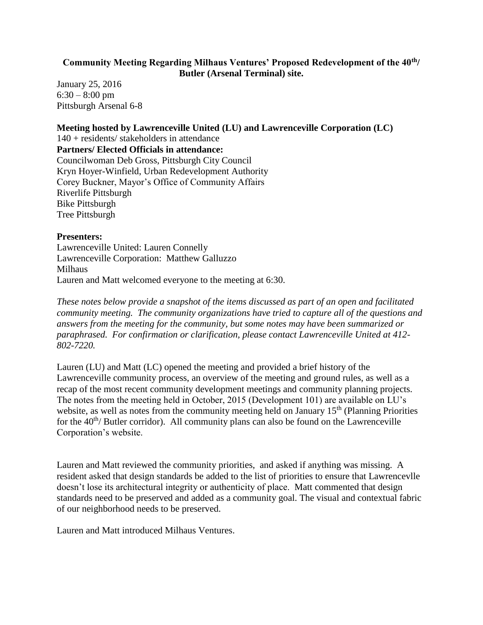#### **Community Meeting Regarding Milhaus Ventures' Proposed Redevelopment of the 40th/ Butler (Arsenal Terminal) site.**

January 25, 2016  $6:30 - 8:00$  pm Pittsburgh Arsenal 6-8

#### **Meeting hosted by Lawrenceville United (LU) and Lawrenceville Corporation (LC)**

140 + residents/ stakeholders in attendance **Partners/ Elected Officials in attendance:** Councilwoman Deb Gross, Pittsburgh City Council Kryn Hoyer-Winfield, Urban Redevelopment Authority Corey Buckner, Mayor's Office of Community Affairs Riverlife Pittsburgh Bike Pittsburgh Tree Pittsburgh

#### **Presenters:**

Lawrenceville United: Lauren Connelly Lawrenceville Corporation: Matthew Galluzzo Milhaus Lauren and Matt welcomed everyone to the meeting at 6:30.

*These notes below provide a snapshot of the items discussed as part of an open and facilitated community meeting. The community organizations have tried to capture all of the questions and answers from the meeting for the community, but some notes may have been summarized or paraphrased. For confirmation or clarification, please contact Lawrenceville United at 412- 802-7220.* 

Lauren (LU) and Matt (LC) opened the meeting and provided a brief history of the Lawrenceville community process, an overview of the meeting and ground rules, as well as a recap of the most recent community development meetings and community planning projects. The notes from the meeting held in October, 2015 (Development 101) are available on LU's website, as well as notes from the community meeting held on January  $15<sup>th</sup>$  (Planning Priorities for the  $40^{th}$ / Butler corridor). All community plans can also be found on the Lawrenceville Corporation's website.

Lauren and Matt reviewed the community priorities, and asked if anything was missing. A resident asked that design standards be added to the list of priorities to ensure that Lawrencevlle doesn't lose its architectural integrity or authenticity of place. Matt commented that design standards need to be preserved and added as a community goal. The visual and contextual fabric of our neighborhood needs to be preserved.

Lauren and Matt introduced Milhaus Ventures.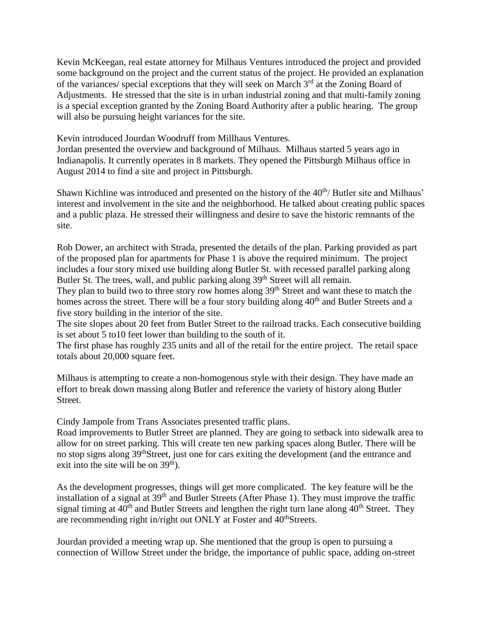Kevin McKeegan, real estate attorney for Milhaus Ventures introduced the project and provided some background on the project and the current status of the project. He provided an explanation of the variances/ special exceptions that they will seek on March 3rd at the Zoning Board of Adjustments. He stressed that the site is in urban industrial zoning and that multi-family zoning is a special exception granted by the Zoning Board Authority after a public hearing. The group will also be pursuing height variances for the site.

Kevin introduced Jourdan Woodruff from Millhaus Ventures.

Jordan presented the overview and background of Milhaus. Milhaus started 5 years ago in Indianapolis. It currently operates in 8 markets. They opened the Pittsburgh Milhaus office in August 2014 to find a site and project in Pittsburgh.

Shawn Kichline was introduced and presented on the history of the 40<sup>th</sup>/ Butler site and Milhaus' interest and involvement in the site and the neighborhood. He talked about creating public spaces and a public plaza. He stressed their willingness and desire to save the historic remnants of the site.

Rob Dower, an architect with Strada, presented the details of the plan. Parking provided as part of the proposed plan for apartments for Phase 1 is above the required minimum. The project includes a four story mixed use building along Butler St. with recessed parallel parking along Butler St. The trees, wall, and public parking along 39<sup>th</sup> Street will all remain.

They plan to build two to three story row homes along 39<sup>th</sup> Street and want these to match the homes across the street. There will be a four story building along 40<sup>th</sup> and Butler Streets and a five story building in the interior of the site.

The site slopes about 20 feet from Butler Street to the railroad tracks. Each consecutive building is set about 5 to10 feet lower than building to the south of it.

The first phase has roughly 235 units and all of the retail for the entire project. The retail space totals about 20,000 square feet.

Milhaus is attempting to create a non-homogenous style with their design. They have made an effort to break down massing along Butler and reference the variety of history along Butler Street.

Cindy Jampole from Trans Associates presented traffic plans.

Road improvements to Butler Street are planned. They are going to setback into sidewalk area to allow for on street parking. This will create ten new parking spaces along Butler. There will be no stop signs along 39thStreet, just one for cars exiting the development (and the entrance and exit into the site will be on  $39<sup>th</sup>$ ).

As the development progresses, things will get more complicated. The key feature will be the installation of a signal at 39th and Butler Streets (After Phase 1). They must improve the traffic signal timing at  $40^{th}$  and Butler Streets and lengthen the right turn lane along  $40^{th}$  Street. They are recommending right in/right out ONLY at Foster and 40<sup>th</sup>Streets.

Jourdan provided a meeting wrap up. She mentioned that the group is open to pursuing a connection of Willow Street under the bridge, the importance of public space, adding on-street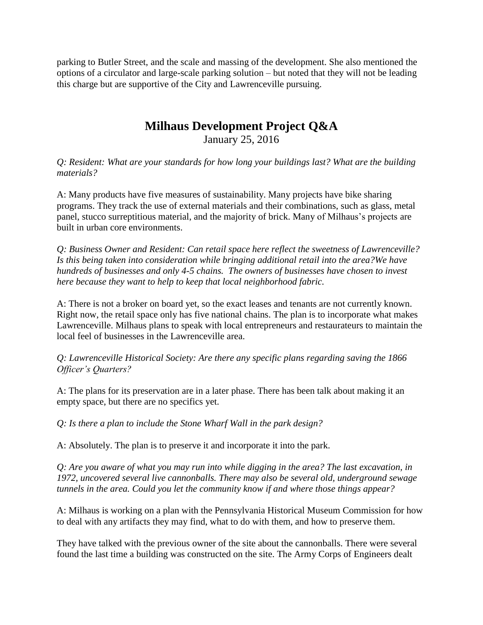parking to Butler Street, and the scale and massing of the development. She also mentioned the options of a circulator and large-scale parking solution – but noted that they will not be leading this charge but are supportive of the City and Lawrenceville pursuing.

# **Milhaus Development Project Q&A**

January 25, 2016

*Q: Resident: What are your standards for how long your buildings last? What are the building materials?*

A: Many products have five measures of sustainability. Many projects have bike sharing programs. They track the use of external materials and their combinations, such as glass, metal panel, stucco surreptitious material, and the majority of brick. Many of Milhaus's projects are built in urban core environments.

*Q: Business Owner and Resident: Can retail space here reflect the sweetness of Lawrenceville? Is this being taken into consideration while bringing additional retail into the area?We have hundreds of businesses and only 4-5 chains. The owners of businesses have chosen to invest here because they want to help to keep that local neighborhood fabric.* 

A: There is not a broker on board yet, so the exact leases and tenants are not currently known. Right now, the retail space only has five national chains. The plan is to incorporate what makes Lawrenceville. Milhaus plans to speak with local entrepreneurs and restaurateurs to maintain the local feel of businesses in the Lawrenceville area.

*Q: Lawrenceville Historical Society: Are there any specific plans regarding saving the 1866 Officer's Quarters?*

A: The plans for its preservation are in a later phase. There has been talk about making it an empty space, but there are no specifics yet.

*Q: Is there a plan to include the Stone Wharf Wall in the park design?*

A: Absolutely. The plan is to preserve it and incorporate it into the park.

*Q: Are you aware of what you may run into while digging in the area? The last excavation, in 1972, uncovered several live cannonballs. There may also be several old, underground sewage tunnels in the area. Could you let the community know if and where those things appear?*

A: Milhaus is working on a plan with the Pennsylvania Historical Museum Commission for how to deal with any artifacts they may find, what to do with them, and how to preserve them.

They have talked with the previous owner of the site about the cannonballs. There were several found the last time a building was constructed on the site. The Army Corps of Engineers dealt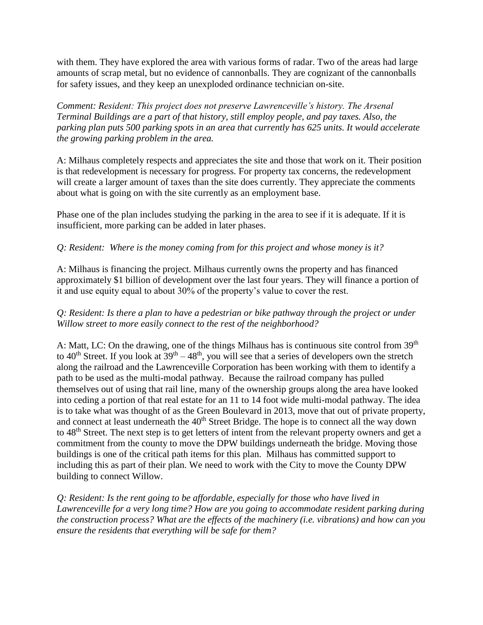with them. They have explored the area with various forms of radar. Two of the areas had large amounts of scrap metal, but no evidence of cannonballs. They are cognizant of the cannonballs for safety issues, and they keep an unexploded ordinance technician on-site.

*Comment: Resident: This project does not preserve Lawrenceville's history. The Arsenal Terminal Buildings are a part of that history, still employ people, and pay taxes. Also, the parking plan puts 500 parking spots in an area that currently has 625 units. It would accelerate the growing parking problem in the area.*

A: Milhaus completely respects and appreciates the site and those that work on it. Their position is that redevelopment is necessary for progress. For property tax concerns, the redevelopment will create a larger amount of taxes than the site does currently. They appreciate the comments about what is going on with the site currently as an employment base.

Phase one of the plan includes studying the parking in the area to see if it is adequate. If it is insufficient, more parking can be added in later phases.

## *Q: Resident: Where is the money coming from for this project and whose money is it?*

A: Milhaus is financing the project. Milhaus currently owns the property and has financed approximately \$1 billion of development over the last four years. They will finance a portion of it and use equity equal to about 30% of the property's value to cover the rest.

## *Q: Resident: Is there a plan to have a pedestrian or bike pathway through the project or under Willow street to more easily connect to the rest of the neighborhood?*

A: Matt, LC: On the drawing, one of the things Milhaus has is continuous site control from 39<sup>th</sup> to 40<sup>th</sup> Street. If you look at  $39<sup>th</sup> - 48<sup>th</sup>$ , you will see that a series of developers own the stretch along the railroad and the Lawrenceville Corporation has been working with them to identify a path to be used as the multi-modal pathway. Because the railroad company has pulled themselves out of using that rail line, many of the ownership groups along the area have looked into ceding a portion of that real estate for an 11 to 14 foot wide multi-modal pathway. The idea is to take what was thought of as the Green Boulevard in 2013, move that out of private property, and connect at least underneath the 40<sup>th</sup> Street Bridge. The hope is to connect all the way down to 48th Street. The next step is to get letters of intent from the relevant property owners and get a commitment from the county to move the DPW buildings underneath the bridge. Moving those buildings is one of the critical path items for this plan. Milhaus has committed support to including this as part of their plan. We need to work with the City to move the County DPW building to connect Willow.

*Q: Resident: Is the rent going to be affordable, especially for those who have lived in Lawrenceville for a very long time? How are you going to accommodate resident parking during the construction process? What are the effects of the machinery (i.e. vibrations) and how can you ensure the residents that everything will be safe for them?*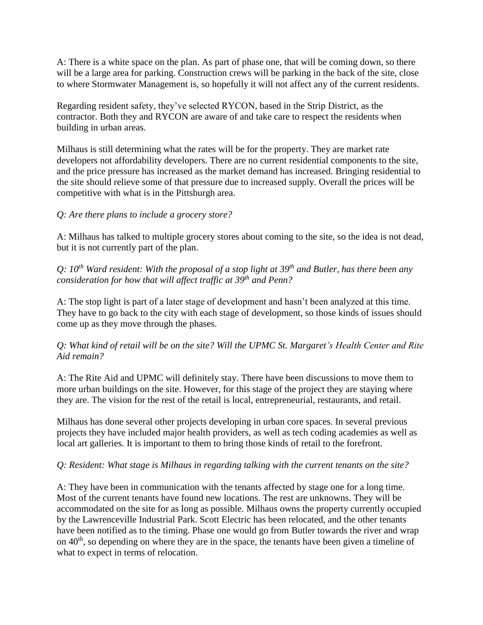A: There is a white space on the plan. As part of phase one, that will be coming down, so there will be a large area for parking. Construction crews will be parking in the back of the site, close to where Stormwater Management is, so hopefully it will not affect any of the current residents.

Regarding resident safety, they've selected RYCON, based in the Strip District, as the contractor. Both they and RYCON are aware of and take care to respect the residents when building in urban areas.

Milhaus is still determining what the rates will be for the property. They are market rate developers not affordability developers. There are no current residential components to the site, and the price pressure has increased as the market demand has increased. Bringing residential to the site should relieve some of that pressure due to increased supply. Overall the prices will be competitive with what is in the Pittsburgh area.

## *Q: Are there plans to include a grocery store?*

A: Milhaus has talked to multiple grocery stores about coming to the site, so the idea is not dead, but it is not currently part of the plan.

*Q: 10th Ward resident: With the proposal of a stop light at 39th and Butler, has there been any consideration for how that will affect traffic at 39th and Penn?*

A: The stop light is part of a later stage of development and hasn't been analyzed at this time. They have to go back to the city with each stage of development, so those kinds of issues should come up as they move through the phases.

## *Q: What kind of retail will be on the site? Will the UPMC St. Margaret's Health Center and Rite Aid remain?*

A: The Rite Aid and UPMC will definitely stay. There have been discussions to move them to more urban buildings on the site. However, for this stage of the project they are staying where they are. The vision for the rest of the retail is local, entrepreneurial, restaurants, and retail.

Milhaus has done several other projects developing in urban core spaces. In several previous projects they have included major health providers, as well as tech coding academies as well as local art galleries. It is important to them to bring those kinds of retail to the forefront.

## *Q: Resident: What stage is Milhaus in regarding talking with the current tenants on the site?*

A: They have been in communication with the tenants affected by stage one for a long time. Most of the current tenants have found new locations. The rest are unknowns. They will be accommodated on the site for as long as possible. Milhaus owns the property currently occupied by the Lawrenceville Industrial Park. Scott Electric has been relocated, and the other tenants have been notified as to the timing. Phase one would go from Butler towards the river and wrap on  $40<sup>th</sup>$ , so depending on where they are in the space, the tenants have been given a timeline of what to expect in terms of relocation.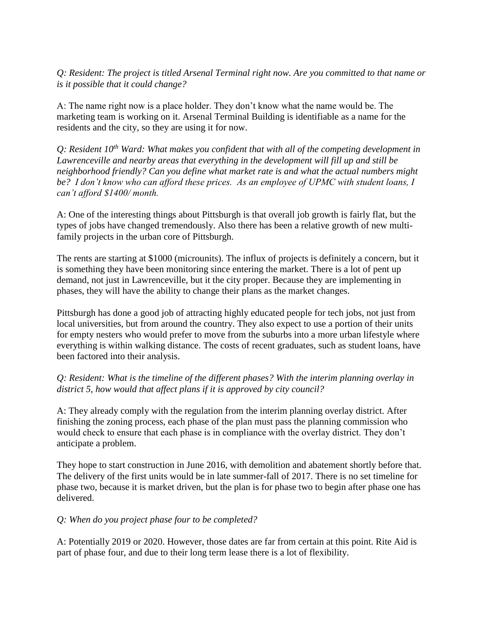*Q: Resident: The project is titled Arsenal Terminal right now. Are you committed to that name or is it possible that it could change?*

A: The name right now is a place holder. They don't know what the name would be. The marketing team is working on it. Arsenal Terminal Building is identifiable as a name for the residents and the city, so they are using it for now.

*Q: Resident 10th Ward: What makes you confident that with all of the competing development in Lawrenceville and nearby areas that everything in the development will fill up and still be neighborhood friendly? Can you define what market rate is and what the actual numbers might be? I don't know who can afford these prices. As an employee of UPMC with student loans, I can't afford \$1400/ month.* 

A: One of the interesting things about Pittsburgh is that overall job growth is fairly flat, but the types of jobs have changed tremendously. Also there has been a relative growth of new multifamily projects in the urban core of Pittsburgh.

The rents are starting at \$1000 (microunits). The influx of projects is definitely a concern, but it is something they have been monitoring since entering the market. There is a lot of pent up demand, not just in Lawrenceville, but it the city proper. Because they are implementing in phases, they will have the ability to change their plans as the market changes.

Pittsburgh has done a good job of attracting highly educated people for tech jobs, not just from local universities, but from around the country. They also expect to use a portion of their units for empty nesters who would prefer to move from the suburbs into a more urban lifestyle where everything is within walking distance. The costs of recent graduates, such as student loans, have been factored into their analysis.

#### *Q: Resident: What is the timeline of the different phases? With the interim planning overlay in district 5, how would that affect plans if it is approved by city council?*

A: They already comply with the regulation from the interim planning overlay district. After finishing the zoning process, each phase of the plan must pass the planning commission who would check to ensure that each phase is in compliance with the overlay district. They don't anticipate a problem.

They hope to start construction in June 2016, with demolition and abatement shortly before that. The delivery of the first units would be in late summer-fall of 2017. There is no set timeline for phase two, because it is market driven, but the plan is for phase two to begin after phase one has delivered.

#### *Q: When do you project phase four to be completed?*

A: Potentially 2019 or 2020. However, those dates are far from certain at this point. Rite Aid is part of phase four, and due to their long term lease there is a lot of flexibility.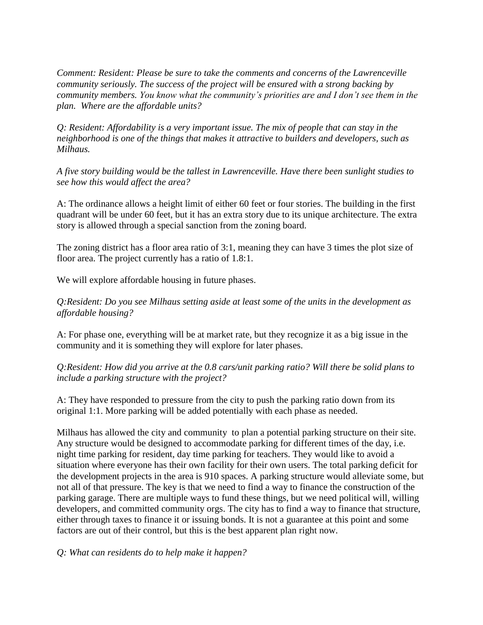*Comment: Resident: Please be sure to take the comments and concerns of the Lawrenceville community seriously. The success of the project will be ensured with a strong backing by community members. You know what the community's priorities are and I don't see them in the plan. Where are the affordable units?* 

*Q: Resident: Affordability is a very important issue. The mix of people that can stay in the neighborhood is one of the things that makes it attractive to builders and developers, such as Milhaus.*

*A five story building would be the tallest in Lawrenceville. Have there been sunlight studies to see how this would affect the area?*

A: The ordinance allows a height limit of either 60 feet or four stories. The building in the first quadrant will be under 60 feet, but it has an extra story due to its unique architecture. The extra story is allowed through a special sanction from the zoning board.

The zoning district has a floor area ratio of 3:1, meaning they can have 3 times the plot size of floor area. The project currently has a ratio of 1.8:1.

We will explore affordable housing in future phases.

*Q:Resident: Do you see Milhaus setting aside at least some of the units in the development as affordable housing?*

A: For phase one, everything will be at market rate, but they recognize it as a big issue in the community and it is something they will explore for later phases.

*Q:Resident: How did you arrive at the 0.8 cars/unit parking ratio? Will there be solid plans to include a parking structure with the project?*

A: They have responded to pressure from the city to push the parking ratio down from its original 1:1. More parking will be added potentially with each phase as needed.

Milhaus has allowed the city and community to plan a potential parking structure on their site. Any structure would be designed to accommodate parking for different times of the day, i.e. night time parking for resident, day time parking for teachers. They would like to avoid a situation where everyone has their own facility for their own users. The total parking deficit for the development projects in the area is 910 spaces. A parking structure would alleviate some, but not all of that pressure. The key is that we need to find a way to finance the construction of the parking garage. There are multiple ways to fund these things, but we need political will, willing developers, and committed community orgs. The city has to find a way to finance that structure, either through taxes to finance it or issuing bonds. It is not a guarantee at this point and some factors are out of their control, but this is the best apparent plan right now.

*Q: What can residents do to help make it happen?*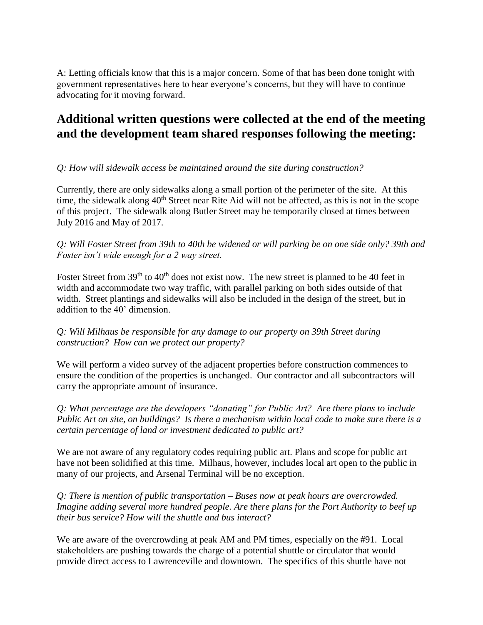A: Letting officials know that this is a major concern. Some of that has been done tonight with government representatives here to hear everyone's concerns, but they will have to continue advocating for it moving forward.

## **Additional written questions were collected at the end of the meeting and the development team shared responses following the meeting:**

## *Q: How will sidewalk access be maintained around the site during construction?*

Currently, there are only sidewalks along a small portion of the perimeter of the site. At this time, the sidewalk along 40<sup>th</sup> Street near Rite Aid will not be affected, as this is not in the scope of this project. The sidewalk along Butler Street may be temporarily closed at times between July 2016 and May of 2017.

## *Q: Will Foster Street from 39th to 40th be widened or will parking be on one side only? 39th and Foster isn't wide enough for a 2 way street.*

Foster Street from 39<sup>th</sup> to 40<sup>th</sup> does not exist now. The new street is planned to be 40 feet in width and accommodate two way traffic, with parallel parking on both sides outside of that width. Street plantings and sidewalks will also be included in the design of the street, but in addition to the 40' dimension.

## *Q: Will Milhaus be responsible for any damage to our property on 39th Street during construction? How can we protect our property?*

We will perform a video survey of the adjacent properties before construction commences to ensure the condition of the properties is unchanged. Our contractor and all subcontractors will carry the appropriate amount of insurance.

*Q: What percentage are the developers "donating" for Public Art? Are there plans to include Public Art on site, on buildings? Is there a mechanism within local code to make sure there is a certain percentage of land or investment dedicated to public art?*

We are not aware of any regulatory codes requiring public art. Plans and scope for public art have not been solidified at this time. Milhaus, however, includes local art open to the public in many of our projects, and Arsenal Terminal will be no exception.

*Q: There is mention of public transportation – Buses now at peak hours are overcrowded. Imagine adding several more hundred people. Are there plans for the Port Authority to beef up their bus service? How will the shuttle and bus interact?*

We are aware of the overcrowding at peak AM and PM times, especially on the #91. Local stakeholders are pushing towards the charge of a potential shuttle or circulator that would provide direct access to Lawrenceville and downtown. The specifics of this shuttle have not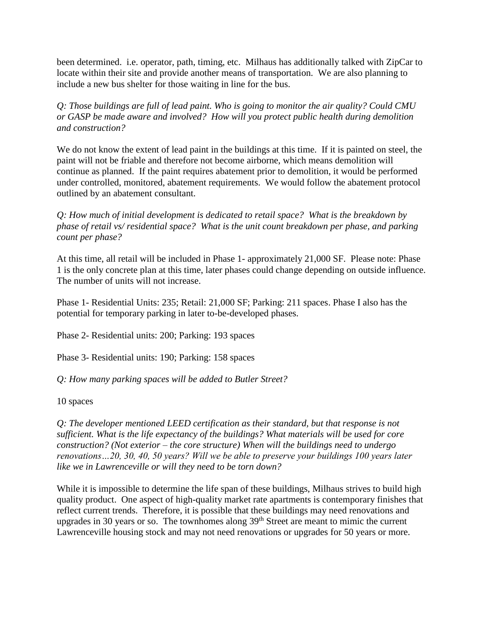been determined. i.e. operator, path, timing, etc. Milhaus has additionally talked with ZipCar to locate within their site and provide another means of transportation. We are also planning to include a new bus shelter for those waiting in line for the bus.

*Q: Those buildings are full of lead paint. Who is going to monitor the air quality? Could CMU or GASP be made aware and involved? How will you protect public health during demolition and construction?*

We do not know the extent of lead paint in the buildings at this time. If it is painted on steel, the paint will not be friable and therefore not become airborne, which means demolition will continue as planned. If the paint requires abatement prior to demolition, it would be performed under controlled, monitored, abatement requirements. We would follow the abatement protocol outlined by an abatement consultant.

*Q: How much of initial development is dedicated to retail space? What is the breakdown by phase of retail vs/ residential space? What is the unit count breakdown per phase, and parking count per phase?*

At this time, all retail will be included in Phase 1- approximately 21,000 SF. Please note: Phase 1 is the only concrete plan at this time, later phases could change depending on outside influence. The number of units will not increase.

Phase 1- Residential Units: 235; Retail: 21,000 SF; Parking: 211 spaces. Phase I also has the potential for temporary parking in later to-be-developed phases.

Phase 2- Residential units: 200; Parking: 193 spaces

Phase 3- Residential units: 190; Parking: 158 spaces

*Q: How many parking spaces will be added to Butler Street?*

10 spaces

*Q: The developer mentioned LEED certification as their standard, but that response is not sufficient. What is the life expectancy of the buildings? What materials will be used for core construction? (Not exterior – the core structure) When will the buildings need to undergo renovations…20, 30, 40, 50 years? Will we be able to preserve your buildings 100 years later like we in Lawrenceville or will they need to be torn down?*

While it is impossible to determine the life span of these buildings, Milhaus strives to build high quality product. One aspect of high-quality market rate apartments is contemporary finishes that reflect current trends. Therefore, it is possible that these buildings may need renovations and upgrades in 30 years or so. The townhomes along 39<sup>th</sup> Street are meant to mimic the current Lawrenceville housing stock and may not need renovations or upgrades for 50 years or more.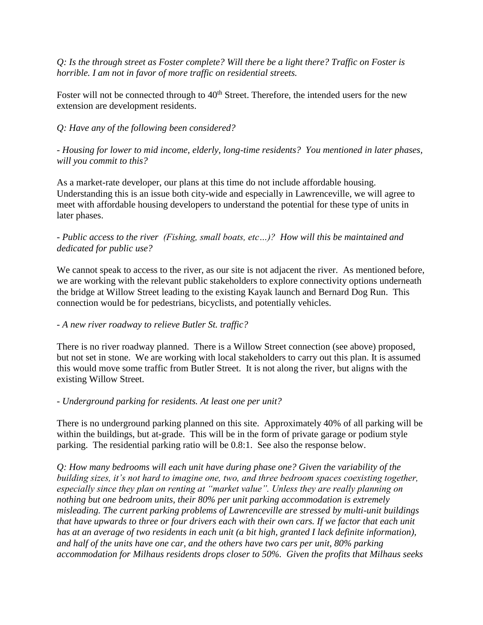*Q: Is the through street as Foster complete? Will there be a light there? Traffic on Foster is horrible. I am not in favor of more traffic on residential streets.*

Foster will not be connected through to  $40<sup>th</sup>$  Street. Therefore, the intended users for the new extension are development residents.

## *Q: Have any of the following been considered?*

*- Housing for lower to mid income, elderly, long-time residents? You mentioned in later phases, will you commit to this?*

As a market-rate developer, our plans at this time do not include affordable housing. Understanding this is an issue both city-wide and especially in Lawrenceville, we will agree to meet with affordable housing developers to understand the potential for these type of units in later phases.

## *- Public access to the river (Fishing, small boats, etc…)? How will this be maintained and dedicated for public use?*

We cannot speak to access to the river, as our site is not adjacent the river. As mentioned before, we are working with the relevant public stakeholders to explore connectivity options underneath the bridge at Willow Street leading to the existing Kayak launch and Bernard Dog Run. This connection would be for pedestrians, bicyclists, and potentially vehicles.

## *- A new river roadway to relieve Butler St. traffic?*

There is no river roadway planned. There is a Willow Street connection (see above) proposed, but not set in stone. We are working with local stakeholders to carry out this plan. It is assumed this would move some traffic from Butler Street. It is not along the river, but aligns with the existing Willow Street.

## *- Underground parking for residents. At least one per unit?*

There is no underground parking planned on this site. Approximately 40% of all parking will be within the buildings, but at-grade. This will be in the form of private garage or podium style parking. The residential parking ratio will be 0.8:1. See also the response below.

*Q: How many bedrooms will each unit have during phase one? Given the variability of the building sizes, it's not hard to imagine one, two, and three bedroom spaces coexisting together, especially since they plan on renting at "market value". Unless they are really planning on nothing but one bedroom units, their 80% per unit parking accommodation is extremely misleading. The current parking problems of Lawrenceville are stressed by multi-unit buildings that have upwards to three or four drivers each with their own cars. If we factor that each unit has at an average of two residents in each unit (a bit high, granted I lack definite information), and half of the units have one car, and the others have two cars per unit, 80% parking accommodation for Milhaus residents drops closer to 50%. Given the profits that Milhaus seeks*